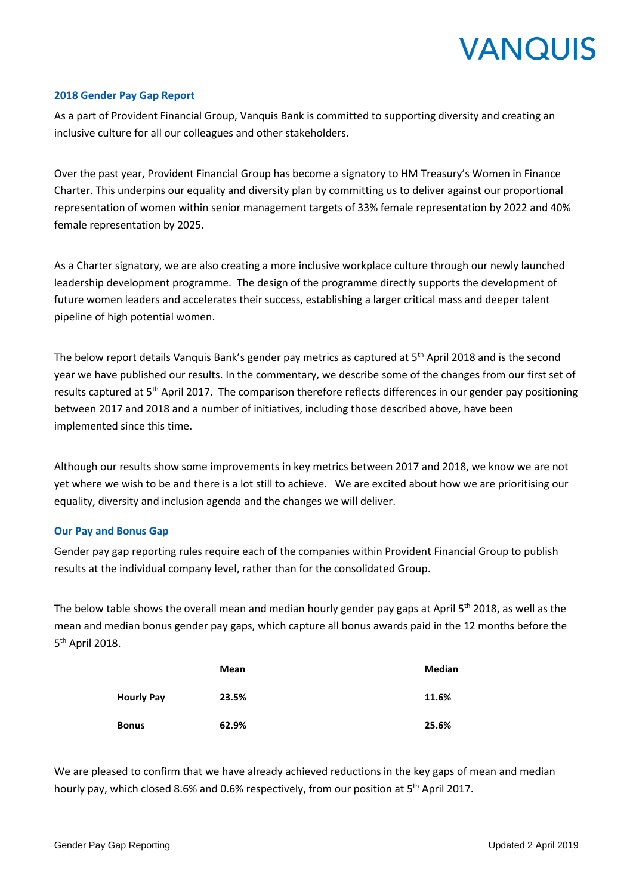

## **2018 Gender Pay Gap Report**

As a part of Provident Financial Group, Vanquis Bank is committed to supporting diversity and creating an inclusive culture for all our colleagues and other stakeholders.

Over the past year, Provident Financial Group has become a signatory to HM Treasury's Women in Finance Charter. This underpins our equality and diversity plan by committing us to deliver against our proportional representation of women within senior management targets of 33% female representation by 2022 and 40% female representation by 2025.

As a Charter signatory, we are also creating a more inclusive workplace culture through our newly launched leadership development programme. The design of the programme directly supports the development of future women leaders and accelerates their success, establishing a larger critical mass and deeper talent pipeline of high potential women.

The below report details Vanquis Bank's gender pay metrics as captured at 5<sup>th</sup> April 2018 and is the second year we have published our results. In the commentary, we describe some of the changes from our first set of results captured at 5<sup>th</sup> April 2017. The comparison therefore reflects differences in our gender pay positioning between 2017 and 2018 and a number of initiatives, including those described above, have been implemented since this time.

Although our results show some improvements in key metrics between 2017 and 2018, we know we are not yet where we wish to be and there is a lot still to achieve. We are excited about how we are prioritising our equality, diversity and inclusion agenda and the changes we will deliver.

## **Our Pay and Bonus Gap**

Gender pay gap reporting rules require each of the companies within Provident Financial Group to publish results at the individual company level, rather than for the consolidated Group.

The below table shows the overall mean and median hourly gender pay gaps at April  $5<sup>th</sup>$  2018, as well as the mean and median bonus gender pay gaps, which capture all bonus awards paid in the 12 months before the 5<sup>th</sup> April 2018.

|                   | Mean  | <b>Median</b> |
|-------------------|-------|---------------|
| <b>Hourly Pay</b> | 23.5% | 11.6%         |
| <b>Bonus</b>      | 62.9% | 25.6%         |

We are pleased to confirm that we have already achieved reductions in the key gaps of mean and median hourly pay, which closed 8.6% and 0.6% respectively, from our position at 5<sup>th</sup> April 2017.